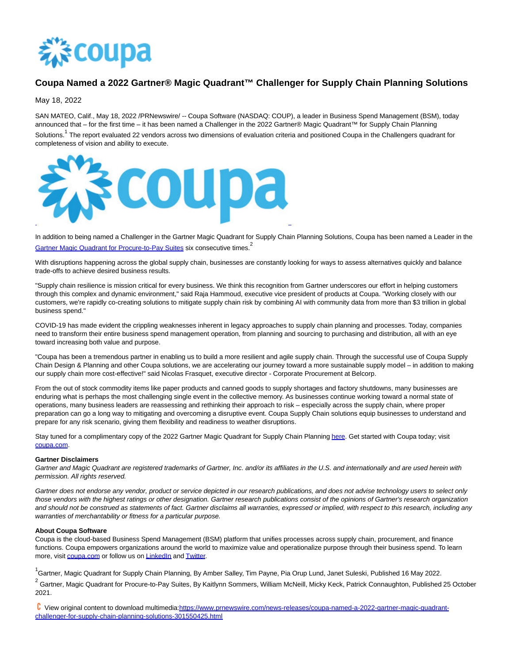

## **Coupa Named a 2022 Gartner® Magic Quadrant™ Challenger for Supply Chain Planning Solutions**

May 18, 2022

SAN MATEO, Calif., May 18, 2022 /PRNewswire/ -- Coupa Software (NASDAQ: COUP), a leader in Business Spend Management (BSM), today announced that – for the first time – it has been named a Challenger in the 2022 Gartner® Magic Quadrant™ for Supply Chain Planning Solutions.<sup>1</sup> The report evaluated 22 vendors across two dimensions of evaluation criteria and positioned Coupa in the Challengers quadrant for completeness of vision and ability to execute.



In addition to being named a Challenger in the Gartner Magic Quadrant for Supply Chain Planning Solutions, Coupa has been named a Leader in the [Gartner Magic Quadrant for Procure-to-Pay Suites s](https://c212.net/c/link/?t=0&l=en&o=3541453-1&h=2065749785&u=https%3A%2F%2Fc212.net%2Fc%2Flink%2F%3Ft%3D0%26l%3Den%26o%3D3334544-1%26h%3D2135943566%26u%3Dhttps%253A%252F%252Fwww.coupa.com%252Fresources%252Fanalyst-reports%252FGartnerMQ%252F2021%252FP2P%26a%3D2021%2BGartner%2BMagic%2BQuadrant%2Bfor%2BProcure-to-Pay%2BSuites&a=Gartner+Magic+Quadrant+for+Procure-to-Pay+Suites)ix consecutive times.<sup>2</sup>

With disruptions happening across the global supply chain, businesses are constantly looking for ways to assess alternatives quickly and balance trade-offs to achieve desired business results.

"Supply chain resilience is mission critical for every business. We think this recognition from Gartner underscores our effort in helping customers through this complex and dynamic environment," said Raja Hammoud, executive vice president of products at Coupa. "Working closely with our customers, we're rapidly co-creating solutions to mitigate supply chain risk by combining AI with community data from more than \$3 trillion in global business spend."

COVID-19 has made evident the crippling weaknesses inherent in legacy approaches to supply chain planning and processes. Today, companies need to transform their entire business spend management operation, from planning and sourcing to purchasing and distribution, all with an eye toward increasing both value and purpose.

"Coupa has been a tremendous partner in enabling us to build a more resilient and agile supply chain. Through the successful use of Coupa Supply Chain Design & Planning and other Coupa solutions, we are accelerating our journey toward a more sustainable supply model – in addition to making our supply chain more cost-effective!" said Nicolas Frasquet, executive director - Corporate Procurement at Belcorp.

From the out of stock commodity items like paper products and canned goods to supply shortages and factory shutdowns, many businesses are enduring what is perhaps the most challenging single event in the collective memory. As businesses continue working toward a normal state of operations, many business leaders are reassessing and rethinking their approach to risk – especially across the supply chain, where proper preparation can go a long way to mitigating and overcoming a disruptive event. Coupa Supply Chain solutions equip businesses to understand and prepare for any risk scenario, giving them flexibility and readiness to weather disruptions.

Stay tuned for a complimentary copy of the 2022 Gartner Magic Quadrant for Supply Chain Plannin[g here.](https://c212.net/c/link/?t=0&l=en&o=3541453-1&h=3535565656&u=https%3A%2F%2Fwww.coupa.com%2Fresources%2Fanalyst-reports%2FGartner%2F2022%2FSCP&a=here) Get started with Coupa today; visit [coupa.com.](https://c212.net/c/link/?t=0&l=en&o=3541453-1&h=198868615&u=https%3A%2F%2Fwww.coupa.com%2F&a=coupa.com)

## **Gartner Disclaimers**

Gartner and Magic Quadrant are registered trademarks of Gartner, Inc. and/or its affiliates in the U.S. and internationally and are used herein with permission. All rights reserved.

Gartner does not endorse any vendor, product or service depicted in our research publications, and does not advise technology users to select only those vendors with the highest ratings or other designation. Gartner research publications consist of the opinions of Gartner's research organization and should not be construed as statements of fact. Gartner disclaims all warranties, expressed or implied, with respect to this research, including any warranties of merchantability or fitness for a particular purpose.

## **About Coupa Software**

Coupa is the cloud-based Business Spend Management (BSM) platform that unifies processes across supply chain, procurement, and finance functions. Coupa empowers organizations around the world to maximize value and operationalize purpose through their business spend. To learn more, visi[t coupa.com o](https://c212.net/c/link/?t=0&l=en&o=3541453-1&h=3184375681&u=http%3A%2F%2Fwww.coupa.com%2F&a=coupa.com)r follow us o[n LinkedIn a](https://c212.net/c/link/?t=0&l=en&o=3541453-1&h=2420416943&u=https%3A%2F%2Fwww.linkedin.com%2Fcompany%2Fcoupa-software&a=LinkedIn)nd [Twitter.](https://c212.net/c/link/?t=0&l=en&o=3541453-1&h=1618399686&u=https%3A%2F%2Ftwitter.com%2FCoupa&a=Twitter)

<sup>1</sup>Gartner, Magic Quadrant for Supply Chain Planning, By Amber Salley, Tim Payne, Pia Orup Lund, Janet Suleski, Published 16 May 2022. <sup>2</sup> Gartner, Magic Quadrant for Procure-to-Pay Suites, By Kaitlynn Sommers, William McNeill, Micky Keck, Patrick Connaughton, Published 25 October 2021.

C View original content to download multimedia[:https://www.prnewswire.com/news-releases/coupa-named-a-2022-gartner-magic-quadrant](https://www.prnewswire.com/news-releases/coupa-named-a-2022-gartner-magic-quadrant-challenger-for-supply-chain-planning-solutions-301550425.html)challenger-for-supply-chain-planning-solutions-301550425.html